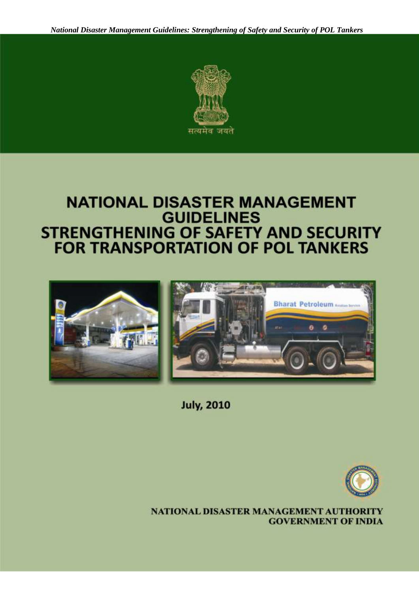

### **NATIONAL DISASTER MANAGEMENT GUIDELINES STRENGTHENING OF SAFETY AND SECURITY FOR TRANSPORTATION OF POL TANKERS**



**July, 2010** 



NATIONAL DISASTER MANAGEMENT AUTHORITY **GOVERNMENT OF INDIA**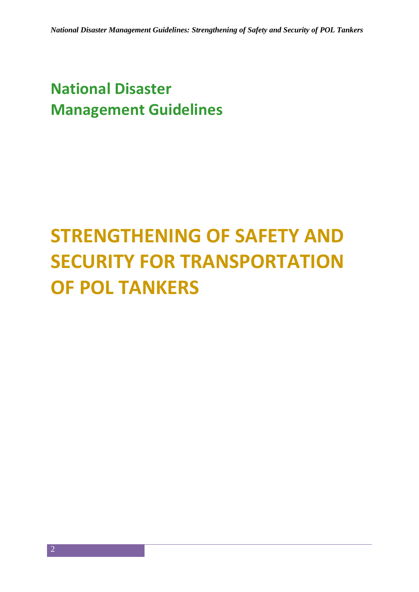### **National Disaster Management Guidelines**

## **STRENGTHENING OF SAFETY AND SECURITY FOR TRANSPORTATION OF POL TANKERS**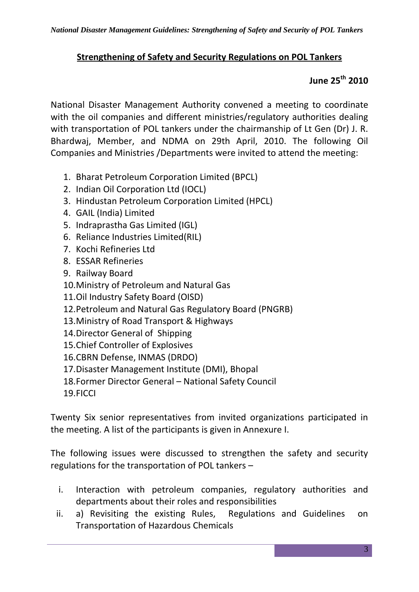#### **Strengthening of Safety and Security Regulations on POL Tankers**

#### **June 25th 2010**

National Disaster Management Authority convened a meeting to coordinate with the oil companies and different ministries/regulatory authorities dealing with transportation of POL tankers under the chairmanship of Lt Gen (Dr) J. R. Bhardwaj, Member, and NDMA on 29th April, 2010. The following Oil Companies and Ministries /Departments were invited to attend the meeting:

- 1. Bharat Petroleum Corporation Limited (BPCL)
- 2. Indian Oil Corporation Ltd (IOCL)
- 3. Hindustan Petroleum Corporation Limited (HPCL)
- 4. GAIL (India) Limited
- 5. Indraprastha Gas Limited (IGL)
- 6. Reliance Industries Limited(RIL)
- 7. Kochi Refineries Ltd
- 8. ESSAR Refineries
- 9. Railway Board
- 10.Ministry of Petroleum and Natural Gas
- 11.Oil Industry Safety Board (OISD)
- 12.Petroleum and Natural Gas Regulatory Board (PNGRB)
- 13.Ministry of Road Transport & Highways
- 14.Director General of Shipping
- 15.Chief Controller of Explosives
- 16.CBRN Defense, INMAS (DRDO)
- 17.Disaster Management Institute (DMI), Bhopal
- 18.Former Director General National Safety Council
- 19.FICCI

Twenty Six senior representatives from invited organizations participated in the meeting. A list of the participants is given in Annexure I.

The following issues were discussed to strengthen the safety and security regulations for the transportation of POL tankers –

- i. Interaction with petroleum companies, regulatory authorities and departments about their roles and responsibilities
- ii. a) Revisiting the existing Rules, Regulations and Guidelines on Transportation of Hazardous Chemicals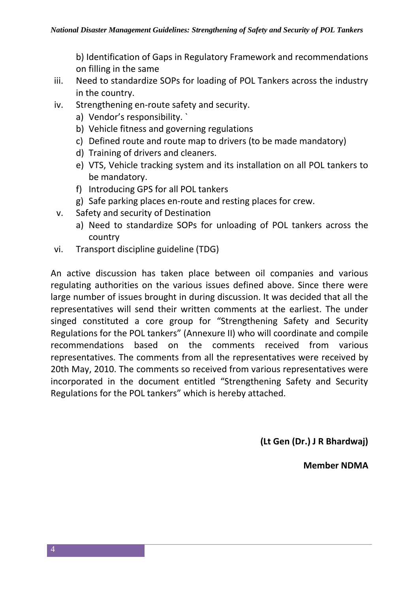b) Identification of Gaps in Regulatory Framework and recommendations on filling in the same

- iii. Need to standardize SOPs for loading of POL Tankers across the industry in the country.
- iv. Strengthening en-route safety and security.
	- a) Vendor's responsibility. `
	- b) Vehicle fitness and governing regulations
	- c) Defined route and route map to drivers (to be made mandatory)
	- d) Training of drivers and cleaners.
	- e) VTS, Vehicle tracking system and its installation on all POL tankers to be mandatory.
	- f) Introducing GPS for all POL tankers
	- g) Safe parking places en-route and resting places for crew.
- v. Safety and security of Destination
	- a) Need to standardize SOPs for unloading of POL tankers across the country
- vi. Transport discipline guideline (TDG)

An active discussion has taken place between oil companies and various regulating authorities on the various issues defined above. Since there were large number of issues brought in during discussion. It was decided that all the representatives will send their written comments at the earliest. The under singed constituted a core group for "Strengthening Safety and Security Regulations for the POL tankers" (Annexure II) who will coordinate and compile recommendations based on the comments received from various representatives. The comments from all the representatives were received by 20th May, 2010. The comments so received from various representatives were incorporated in the document entitled "Strengthening Safety and Security Regulations for the POL tankers" which is hereby attached.

**(Lt Gen (Dr.) J R Bhardwaj)**

**Member NDMA**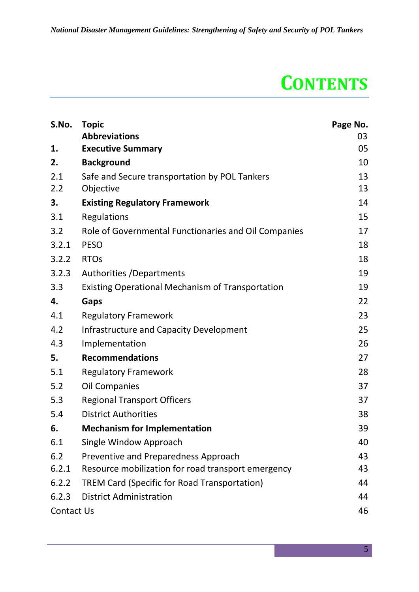### **CONTENTS**

| S.No.             | <b>Topic</b>                                            | Page No. |
|-------------------|---------------------------------------------------------|----------|
|                   | <b>Abbreviations</b>                                    | 03       |
| 1.                | <b>Executive Summary</b>                                | 05       |
| 2.                | <b>Background</b>                                       | 10       |
| 2.1               | Safe and Secure transportation by POL Tankers           | 13       |
| 2.2               | Objective                                               | 13       |
| 3.                | <b>Existing Regulatory Framework</b>                    | 14       |
| 3.1               | <b>Regulations</b>                                      | 15       |
| 3.2               | Role of Governmental Functionaries and Oil Companies    | 17       |
| 3.2.1             | <b>PESO</b>                                             | 18       |
| 3.2.2             | <b>RTOs</b>                                             | 18       |
| 3.2.3             | Authorities / Departments                               | 19       |
| 3.3               | <b>Existing Operational Mechanism of Transportation</b> | 19       |
| 4.                | Gaps                                                    | 22       |
| 4.1               | <b>Regulatory Framework</b>                             | 23       |
| 4.2               | <b>Infrastructure and Capacity Development</b>          | 25       |
| 4.3               | Implementation                                          | 26       |
| 5.                | <b>Recommendations</b>                                  | 27       |
| 5.1               | <b>Regulatory Framework</b>                             | 28       |
| 5.2               | <b>Oil Companies</b>                                    | 37       |
| 5.3               | <b>Regional Transport Officers</b>                      | 37       |
| 5.4               | <b>District Authorities</b>                             | 38       |
| 6.                | <b>Mechanism for Implementation</b>                     | 39       |
| 6.1               | Single Window Approach                                  | 40       |
| 6.2               | Preventive and Preparedness Approach                    | 43       |
| 6.2.1             | Resource mobilization for road transport emergency      | 43       |
| 6.2.2             | <b>TREM Card (Specific for Road Transportation)</b>     | 44       |
| 6.2.3             | <b>District Administration</b>                          | 44       |
| <b>Contact Us</b> |                                                         | 46       |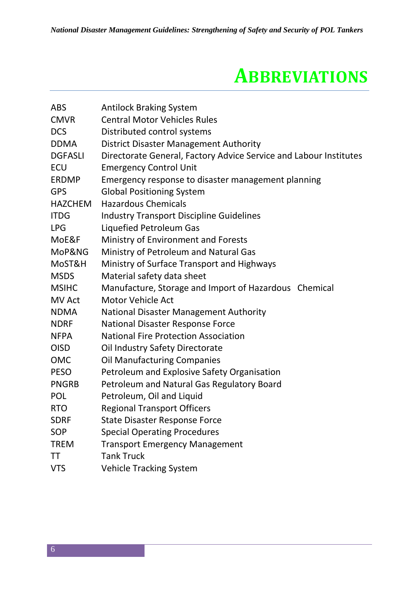### **ABBREVIATIONS**

| <b>ABS</b>     | <b>Antilock Braking System</b>                                    |  |
|----------------|-------------------------------------------------------------------|--|
| <b>CMVR</b>    | <b>Central Motor Vehicles Rules</b>                               |  |
| <b>DCS</b>     | Distributed control systems                                       |  |
| <b>DDMA</b>    | <b>District Disaster Management Authority</b>                     |  |
| <b>DGFASLI</b> | Directorate General, Factory Advice Service and Labour Institutes |  |
| <b>ECU</b>     | <b>Emergency Control Unit</b>                                     |  |
| <b>ERDMP</b>   | Emergency response to disaster management planning                |  |
| <b>GPS</b>     | <b>Global Positioning System</b>                                  |  |
| <b>HAZCHEM</b> | <b>Hazardous Chemicals</b>                                        |  |
| <b>ITDG</b>    | <b>Industry Transport Discipline Guidelines</b>                   |  |
| <b>LPG</b>     | Liquefied Petroleum Gas                                           |  |
| MoE&F          | Ministry of Environment and Forests                               |  |
| MoP&NG         | Ministry of Petroleum and Natural Gas                             |  |
| MoST&H         | Ministry of Surface Transport and Highways                        |  |
| <b>MSDS</b>    | Material safety data sheet                                        |  |
| <b>MSIHC</b>   | Manufacture, Storage and Import of Hazardous Chemical             |  |
| <b>MV Act</b>  | Motor Vehicle Act                                                 |  |
| <b>NDMA</b>    | <b>National Disaster Management Authority</b>                     |  |
| <b>NDRF</b>    | National Disaster Response Force                                  |  |
| <b>NFPA</b>    | <b>National Fire Protection Association</b>                       |  |
| <b>OISD</b>    | Oil Industry Safety Directorate                                   |  |
| <b>OMC</b>     | <b>Oil Manufacturing Companies</b>                                |  |
| <b>PESO</b>    | Petroleum and Explosive Safety Organisation                       |  |
| <b>PNGRB</b>   | Petroleum and Natural Gas Regulatory Board                        |  |
| <b>POL</b>     | Petroleum, Oil and Liquid                                         |  |
| <b>RTO</b>     | <b>Regional Transport Officers</b>                                |  |
| <b>SDRF</b>    | <b>State Disaster Response Force</b>                              |  |
| <b>SOP</b>     | <b>Special Operating Procedures</b>                               |  |
| <b>TREM</b>    | <b>Transport Emergency Management</b>                             |  |
| TT             | <b>Tank Truck</b>                                                 |  |
| <b>VTS</b>     | <b>Vehicle Tracking System</b>                                    |  |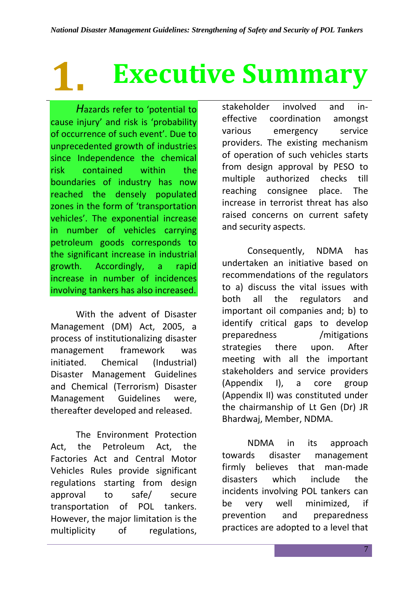# **1. Executive Summary**

*H*azards refer to 'potential to cause injury' and risk is 'probability of occurrence of such event'. Due to unprecedented growth of industries since Independence the chemical risk contained within the boundaries of industry has now reached the densely populated zones in the form of 'transportation vehicles'. The exponential increase in number of vehicles carrying petroleum goods corresponds to the significant increase in industrial growth. Accordingly, a rapid increase in number of incidences involving tankers has also increased.

With the advent of Disaster Management (DM) Act, 2005, a process of institutionalizing disaster management framework was initiated. Chemical (Industrial) Disaster Management Guidelines and Chemical (Terrorism) Disaster Management Guidelines were, thereafter developed and released.

The Environment Protection Act, the Petroleum Act, the Factories Act and Central Motor Vehicles Rules provide significant regulations starting from design approval to safe/ secure transportation of POL tankers. However, the major limitation is the multiplicity of regulations,

stakeholder involved and ineffective coordination amongst various emergency service providers. The existing mechanism of operation of such vehicles starts from design approval by PESO to multiple authorized checks till reaching consignee place. The increase in terrorist threat has also raised concerns on current safety and security aspects.

Consequently, NDMA has undertaken an initiative based on recommendations of the regulators to a) discuss the vital issues with both all the regulators and important oil companies and; b) to identify critical gaps to develop preparedness /mitigations strategies there upon. After meeting with all the important stakeholders and service providers (Appendix I), a core group (Appendix II) was constituted under the chairmanship of Lt Gen (Dr) JR Bhardwaj, Member, NDMA.

NDMA in its approach towards disaster management firmly believes that man-made disasters which include the incidents involving POL tankers can be very well minimized, if prevention and preparedness practices are adopted to a level that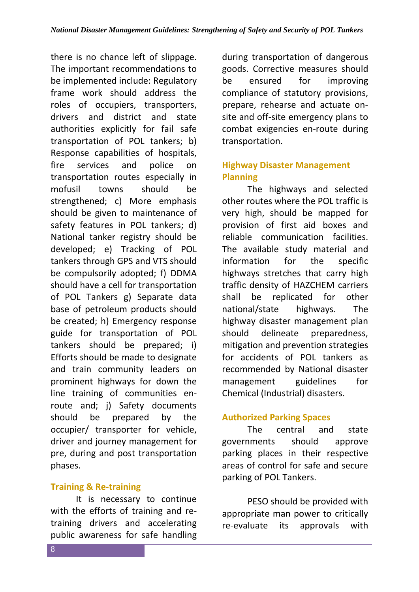there is no chance left of slippage. The important recommendations to be implemented include: Regulatory frame work should address the roles of occupiers, transporters, drivers and district and state authorities explicitly for fail safe transportation of POL tankers; b) Response capabilities of hospitals, fire services and police on transportation routes especially in mofusil towns should be strengthened; c) More emphasis should be given to maintenance of safety features in POL tankers; d) National tanker registry should be developed; e) Tracking of POL tankers through GPS and VTS should be compulsorily adopted; f) DDMA should have a cell for transportation of POL Tankers g) Separate data base of petroleum products should be created; h) Emergency response guide for transportation of POL tankers should be prepared; i) Efforts should be made to designate and train community leaders on prominent highways for down the line training of communities enroute and; j) Safety documents should be prepared by the occupier/ transporter for vehicle, driver and journey management for pre, during and post transportation phases.

#### **Training & Re-training**

It is necessary to continue with the efforts of training and retraining drivers and accelerating public awareness for safe handling

during transportation of dangerous goods. Corrective measures should be ensured for improving compliance of statutory provisions, prepare, rehearse and actuate onsite and off-site emergency plans to combat exigencies en-route during transportation.

#### **Highway Disaster Management Planning**

The highways and selected other routes where the POL traffic is very high, should be mapped for provision of first aid boxes and reliable communication facilities. The available study material and information for the specific highways stretches that carry high traffic density of HAZCHEM carriers shall be replicated for other national/state highways. The highway disaster management plan should delineate preparedness, mitigation and prevention strategies for accidents of POL tankers as recommended by National disaster management guidelines for Chemical (Industrial) disasters.

#### **Authorized Parking Spaces**

The central and state governments should approve parking places in their respective areas of control for safe and secure parking of POL Tankers.

PESO should be provided with appropriate man power to critically re-evaluate its approvals with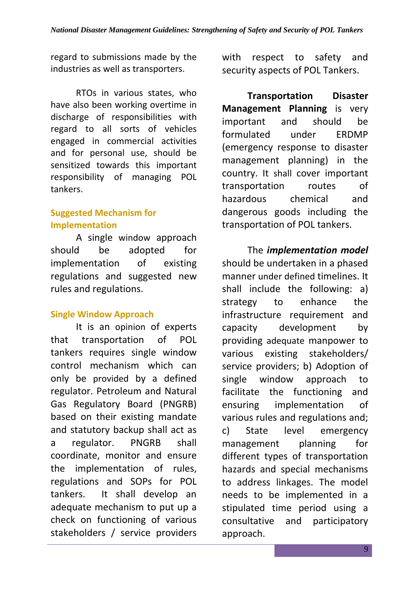regard to submissions made by the industries as well as transporters.

RTOs in various states, who have also been working overtime in discharge of responsibilities with regard to all sorts of vehicles engaged in commercial activities and for personal use, should be sensitized towards this important responsibility of managing POL tankers.

#### **Suggested Mechanism for Implementation**

A single window approach should be adopted for implementation of existing regulations and suggested new rules and regulations.

#### **Single Window Approach**

It is an opinion of experts that transportation of POL tankers requires single window control mechanism which can only be provided by a defined regulator. Petroleum and Natural Gas Regulatory Board (PNGRB) based on their existing mandate and statutory backup shall act as a regulator. PNGRB shall coordinate, monitor and ensure the implementation of rules, regulations and SOPs for POL tankers. It shall develop an adequate mechanism to put up a check on functioning of various stakeholders / service providers

with respect to safety and security aspects of POL Tankers.

**Transportation Disaster Management Planning** is very important and should be formulated under ERDMP (emergency response to disaster management planning) in the country. It shall cover important transportation routes of hazardous chemical and dangerous goods including the transportation of POL tankers.

The *implementation model* should be undertaken in a phased manner under defined timelines. It shall include the following: a) strategy to enhance the infrastructure requirement and capacity development by providing adequate manpower to various existing stakeholders/ service providers; b) Adoption of single window approach to facilitate the functioning and ensuring implementation of various rules and regulations and; c) State level emergency management planning for different types of transportation hazards and special mechanisms to address linkages. The model needs to be implemented in a stipulated time period using a consultative and participatory approach.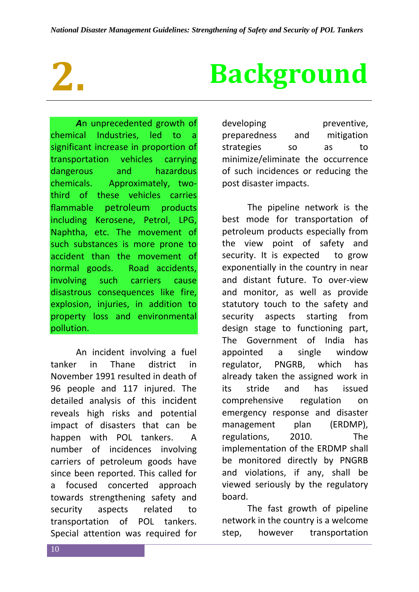*A*n unprecedented growth of chemical Industries, led to a significant increase in proportion of transportation vehicles carrying dangerous and hazardous chemicals. Approximately, twothird of these vehicles carries flammable petroleum products including Kerosene, Petrol, LPG, Naphtha, etc. The movement of such substances is more prone to accident than the movement of normal goods. Road accidents, involving such carriers cause disastrous consequences like fire. explosion, injuries, in addition to property loss and environmental pollution.

An incident involving a fuel tanker in Thane district in November 1991 resulted in death of 96 people and 117 injured. The detailed analysis of this incident reveals high risks and potential impact of disasters that can be happen with POL tankers. A number of incidences involving carriers of petroleum goods have since been reported. This called for a focused concerted approach towards strengthening safety and security aspects related to transportation of POL tankers. Special attention was required for

# **2. Background**

developing preventive, preparedness and mitigation strategies so as to minimize/eliminate the occurrence of such incidences or reducing the post disaster impacts.

The pipeline network is the best mode for transportation of petroleum products especially from the view point of safety and security. It is expected to grow exponentially in the country in near and distant future. To over-view and monitor, as well as provide statutory touch to the safety and security aspects starting from design stage to functioning part, The Government of India has appointed a single window regulator, PNGRB, which has already taken the assigned work in its stride and has issued comprehensive regulation on emergency response and disaster management plan (ERDMP), regulations, 2010. The implementation of the ERDMP shall be monitored directly by PNGRB and violations, if any, shall be viewed seriously by the regulatory board.

The fast growth of pipeline network in the country is a welcome step. however transportation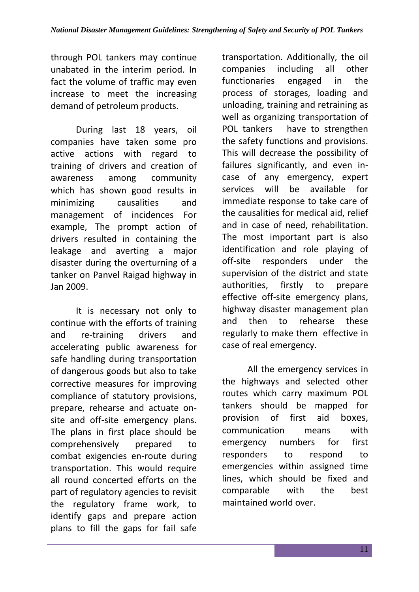through POL tankers may continue unabated in the interim period. In fact the volume of traffic may even increase to meet the increasing demand of petroleum products.

During last 18 years, oil companies have taken some pro active actions with regard to training of drivers and creation of awareness among community which has shown good results in minimizing causalities and management of incidences For example, The prompt action of drivers resulted in containing the leakage and averting a major disaster during the overturning of a tanker on Panvel Raigad highway in Jan 2009.

It is necessary not only to continue with the efforts of training and re-training drivers and accelerating public awareness for safe handling during transportation of dangerous goods but also to take corrective measures for improving compliance of statutory provisions, prepare, rehearse and actuate onsite and off-site emergency plans. The plans in first place should be comprehensively prepared to combat exigencies en-route during transportation. This would require all round concerted efforts on the part of regulatory agencies to revisit the regulatory frame work, to identify gaps and prepare action plans to fill the gaps for fail safe

transportation. Additionally, the oil companies including all other functionaries engaged in the process of storages, loading and unloading, training and retraining as well as organizing transportation of POL tankers have to strengthen the safety functions and provisions. This will decrease the possibility of failures significantly, and even incase of any emergency, expert services will be available for immediate response to take care of the causalities for medical aid, relief and in case of need, rehabilitation. The most important part is also identification and role playing of off-site responders under the supervision of the district and state authorities, firstly to prepare effective off-site emergency plans, highway disaster management plan and then to rehearse these regularly to make them effective in case of real emergency.

All the emergency services in the highways and selected other routes which carry maximum POL tankers should be mapped for provision of first aid boxes, communication means with emergency numbers for first responders to respond to emergencies within assigned time lines, which should be fixed and comparable with the best maintained world over.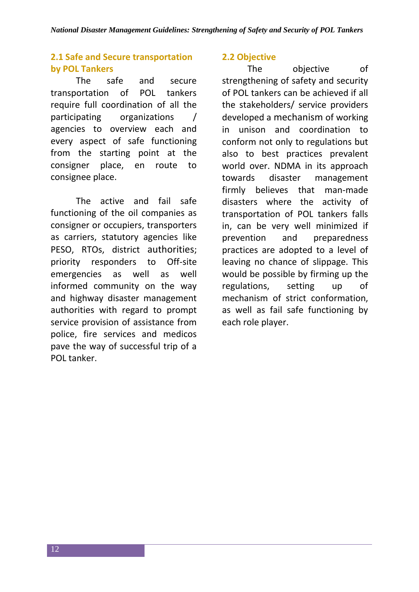#### **2.1 Safe and Secure transportation by POL Tankers**

The safe and secure transportation of POL tankers require full coordination of all the participating organizations / agencies to overview each and every aspect of safe functioning from the starting point at the consigner place, en route to consignee place.

The active and fail safe functioning of the oil companies as consigner or occupiers, transporters as carriers, statutory agencies like PESO, RTOs, district authorities; priority responders to Off-site emergencies as well as well informed community on the way and highway disaster management authorities with regard to prompt service provision of assistance from police, fire services and medicos pave the way of successful trip of a POL tanker.

#### **2.2 Objective**

The objective of strengthening of safety and security of POL tankers can be achieved if all the stakeholders/ service providers developed a mechanism of working in unison and coordination to conform not only to regulations but also to best practices prevalent world over. NDMA in its approach towards disaster management firmly believes that man-made disasters where the activity of transportation of POL tankers falls in, can be very well minimized if prevention and preparedness practices are adopted to a level of leaving no chance of slippage. This would be possible by firming up the regulations, setting up of mechanism of strict conformation, as well as fail safe functioning by each role player.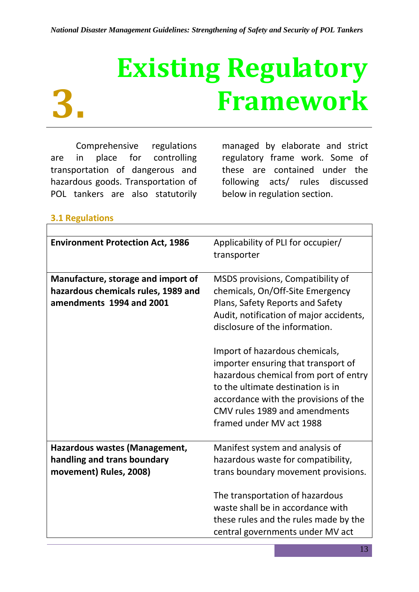# **Existing Regulatory Framework**

Comprehensive regulations are in place for controlling transportation of dangerous and hazardous goods. Transportation of POL tankers are also statutorily

managed by elaborate and strict regulatory frame work. Some of these are contained under the following acts/ rules discussed below in regulation section.

#### **3.1 Regulations**

**3.**

| <b>Environment Protection Act, 1986</b> | Applicability of PLI for occupier/      |
|-----------------------------------------|-----------------------------------------|
|                                         | transporter                             |
|                                         |                                         |
| Manufacture, storage and import of      | MSDS provisions, Compatibility of       |
| hazardous chemicals rules, 1989 and     | chemicals, On/Off-Site Emergency        |
| amendments 1994 and 2001                | Plans, Safety Reports and Safety        |
|                                         | Audit, notification of major accidents, |
|                                         | disclosure of the information.          |
|                                         |                                         |
|                                         | Import of hazardous chemicals,          |
|                                         | importer ensuring that transport of     |
|                                         | hazardous chemical from port of entry   |
|                                         | to the ultimate destination is in       |
|                                         | accordance with the provisions of the   |
|                                         | CMV rules 1989 and amendments           |
|                                         | framed under MV act 1988                |
| Hazardous wastes (Management,           | Manifest system and analysis of         |
| handling and trans boundary             | hazardous waste for compatibility,      |
|                                         |                                         |
| movement) Rules, 2008)                  | trans boundary movement provisions.     |
|                                         | The transportation of hazardous         |
|                                         | waste shall be in accordance with       |
|                                         | these rules and the rules made by the   |
|                                         | central governments under MV act        |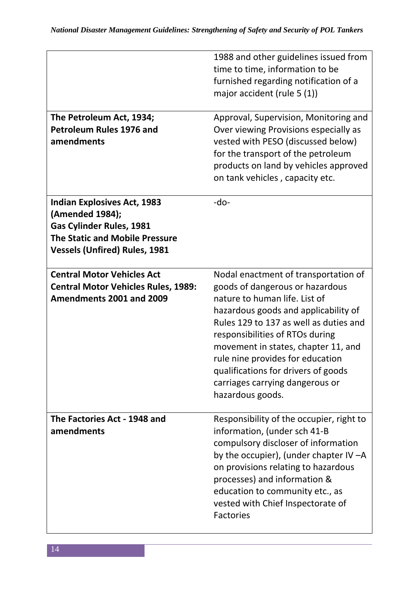| The Petroleum Act, 1934;<br><b>Petroleum Rules 1976 and</b><br>amendments                                                                                                 | 1988 and other guidelines issued from<br>time to time, information to be<br>furnished regarding notification of a<br>major accident (rule $5(1)$ )<br>Approval, Supervision, Monitoring and<br>Over viewing Provisions especially as<br>vested with PESO (discussed below)<br>for the transport of the petroleum<br>products on land by vehicles approved<br>on tank vehicles, capacity etc.           |
|---------------------------------------------------------------------------------------------------------------------------------------------------------------------------|--------------------------------------------------------------------------------------------------------------------------------------------------------------------------------------------------------------------------------------------------------------------------------------------------------------------------------------------------------------------------------------------------------|
| <b>Indian Explosives Act, 1983</b><br>(Amended 1984);<br><b>Gas Cylinder Rules, 1981</b><br><b>The Static and Mobile Pressure</b><br><b>Vessels (Unfired) Rules, 1981</b> | $-do-$                                                                                                                                                                                                                                                                                                                                                                                                 |
| <b>Central Motor Vehicles Act</b><br><b>Central Motor Vehicles Rules, 1989:</b><br>Amendments 2001 and 2009                                                               | Nodal enactment of transportation of<br>goods of dangerous or hazardous<br>nature to human life. List of<br>hazardous goods and applicability of<br>Rules 129 to 137 as well as duties and<br>responsibilities of RTOs during<br>movement in states, chapter 11, and<br>rule nine provides for education<br>qualifications for drivers of goods<br>carriages carrying dangerous or<br>hazardous goods. |
| The Factories Act - 1948 and<br>amendments                                                                                                                                | Responsibility of the occupier, right to<br>information, (under sch 41-B<br>compulsory discloser of information<br>by the occupier), (under chapter IV $-A$<br>on provisions relating to hazardous<br>processes) and information &<br>education to community etc., as<br>vested with Chief Inspectorate of<br><b>Factories</b>                                                                         |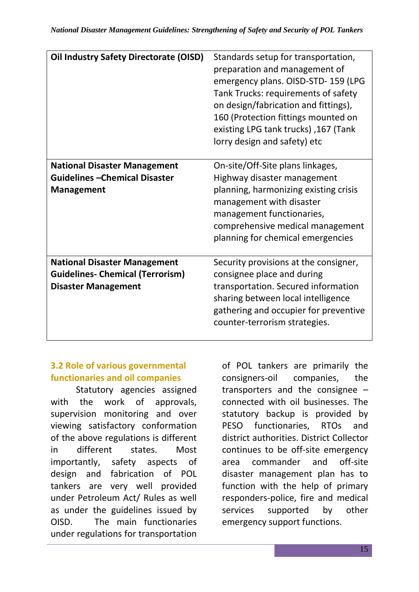| Oil Industry Safety Directorate (OISD)  | Standards setup for transportation,   |  |
|-----------------------------------------|---------------------------------------|--|
|                                         | preparation and management of         |  |
|                                         | emergency plans. OISD-STD-159 (LPG    |  |
|                                         | Tank Trucks: requirements of safety   |  |
|                                         | on design/fabrication and fittings),  |  |
|                                         | 160 (Protection fittings mounted on   |  |
|                                         | existing LPG tank trucks), 167 (Tank  |  |
|                                         | lorry design and safety) etc          |  |
|                                         |                                       |  |
| <b>National Disaster Management</b>     | On-site/Off-Site plans linkages,      |  |
| <b>Guidelines - Chemical Disaster</b>   | Highway disaster management           |  |
| <b>Management</b>                       | planning, harmonizing existing crisis |  |
|                                         | management with disaster              |  |
|                                         | management functionaries,             |  |
|                                         | comprehensive medical management      |  |
|                                         | planning for chemical emergencies     |  |
|                                         |                                       |  |
| <b>National Disaster Management</b>     | Security provisions at the consigner, |  |
| <b>Guidelines- Chemical (Terrorism)</b> | consignee place and during            |  |
| <b>Disaster Management</b>              | transportation. Secured information   |  |
|                                         | sharing between local intelligence    |  |
|                                         | gathering and occupier for preventive |  |
|                                         | counter-terrorism strategies.         |  |
|                                         |                                       |  |

#### **3.2 Role of various governmental functionaries and oil companies**

Statutory agencies assigned with the work of approvals, supervision monitoring and over viewing satisfactory conformation of the above regulations is different in different states. Most importantly, safety aspects of design and fabrication of POL tankers are very well provided under Petroleum Act/ Rules as well as under the guidelines issued by OISD. The main functionaries under regulations for transportation of POL tankers are primarily the consigners-oil companies, the transporters and the consignee – connected with oil businesses. The statutory backup is provided by PESO functionaries, RTOs and district authorities. District Collector continues to be off-site emergency area commander and off-site disaster management plan has to function with the help of primary responders-police, fire and medical services supported by other emergency support functions.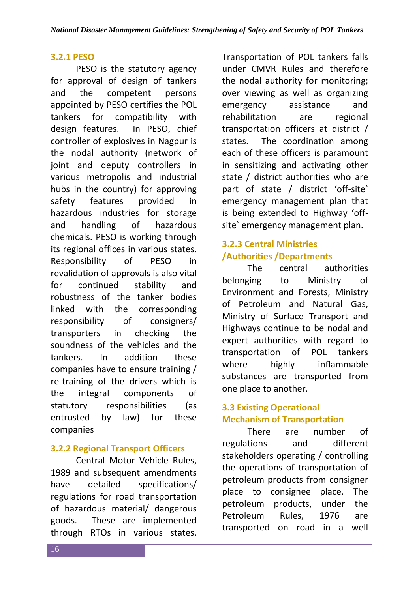#### **3.2.1 PESO**

PESO is the statutory agency for approval of design of tankers and the competent persons appointed by PESO certifies the POL tankers for compatibility with design features. In PESO, chief controller of explosives in Nagpur is the nodal authority (network of joint and deputy controllers in various metropolis and industrial hubs in the country) for approving safety features provided in hazardous industries for storage and handling of hazardous chemicals. PESO is working through its regional offices in various states. Responsibility of PESO in revalidation of approvals is also vital for continued stability and robustness of the tanker bodies linked with the corresponding responsibility of consigners/ transporters in checking the soundness of the vehicles and the tankers. In addition these companies have to ensure training / re-training of the drivers which is the integral components of statutory responsibilities (as entrusted by law) for these companies

#### **3.2.2 Regional Transport Officers**

Central Motor Vehicle Rules, 1989 and subsequent amendments have detailed specifications/ regulations for road transportation of hazardous material/ dangerous goods. These are implemented through RTOs in various states.

Transportation of POL tankers falls under CMVR Rules and therefore the nodal authority for monitoring; over viewing as well as organizing emergency assistance and rehabilitation are regional transportation officers at district / states. The coordination among each of these officers is paramount in sensitizing and activating other state / district authorities who are part of state / district 'off-site` emergency management plan that is being extended to Highway 'offsite` emergency management plan.

#### **3.2.3 Central Ministries /Authorities /Departments**

The central authorities belonging to Ministry of Environment and Forests, Ministry of Petroleum and Natural Gas, Ministry of Surface Transport and Highways continue to be nodal and expert authorities with regard to transportation of POL tankers where highly inflammable substances are transported from one place to another.

#### **3.3 Existing Operational Mechanism of Transportation**

There are number of regulations and different stakeholders operating / controlling the operations of transportation of petroleum products from consigner place to consignee place. The petroleum products, under the Petroleum Rules, 1976 are transported on road in a well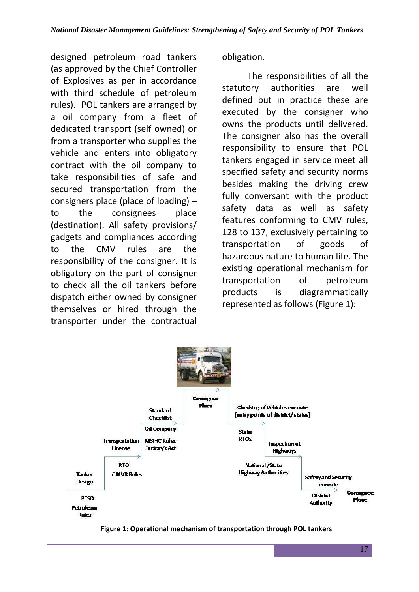designed petroleum road tankers (as approved by the Chief Controller of Explosives as per in accordance with third schedule of petroleum rules). POL tankers are arranged by a oil company from a fleet of dedicated transport (self owned) or from a transporter who supplies the vehicle and enters into obligatory contract with the oil company to take responsibilities of safe and secured transportation from the consigners place (place of loading) – to the consignees place (destination). All safety provisions/ gadgets and compliances according to the CMV rules are the responsibility of the consigner. It is obligatory on the part of consigner to check all the oil tankers before dispatch either owned by consigner themselves or hired through the transporter under the contractual

obligation.

The responsibilities of all the statutory authorities are well defined but in practice these are executed by the consigner who owns the products until delivered. The consigner also has the overall responsibility to ensure that POL tankers engaged in service meet all specified safety and security norms besides making the driving crew fully conversant with the product safety data as well as safety features conforming to CMV rules, 128 to 137, exclusively pertaining to transportation of goods of hazardous nature to human life. The existing operational mechanism for transportation of petroleum products is diagrammatically represented as follows (Figure 1):



**Figure 1: Operational mechanism of transportation through POL tankers**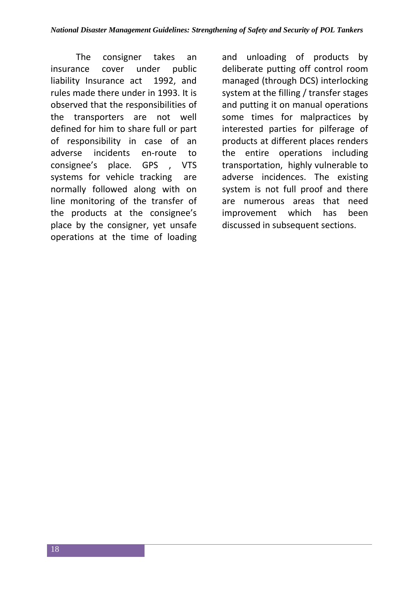The consigner takes an insurance cover under public liability Insurance act 1992, and rules made there under in 1993. It is observed that the responsibilities of the transporters are not well defined for him to share full or part of responsibility in case of an adverse incidents en-route to consignee's place. GPS , VTS systems for vehicle tracking are normally followed along with on line monitoring of the transfer of the products at the consignee's place by the consigner, yet unsafe operations at the time of loading

and unloading of products by deliberate putting off control room managed (through DCS) interlocking system at the filling / transfer stages and putting it on manual operations some times for malpractices by interested parties for pilferage of products at different places renders the entire operations including transportation, highly vulnerable to adverse incidences. The existing system is not full proof and there are numerous areas that need improvement which has been discussed in subsequent sections.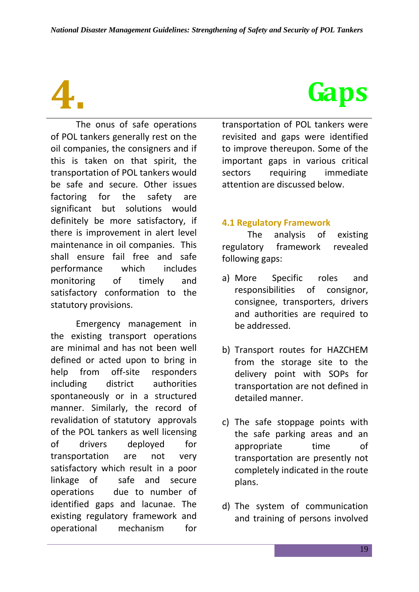The onus of safe operations of POL tankers generally rest on the oil companies, the consigners and if this is taken on that spirit, the transportation of POL tankers would be safe and secure. Other issues factoring for the safety are significant but solutions would definitely be more satisfactory, if there is improvement in alert level maintenance in oil companies. This shall ensure fail free and safe performance which includes monitoring of timely and satisfactory conformation to the statutory provisions.

Emergency management in the existing transport operations are minimal and has not been well defined or acted upon to bring in help from off-site responders including district authorities spontaneously or in a structured manner. Similarly, the record of revalidation of statutory approvals of the POL tankers as well licensing of drivers deployed for transportation are not very satisfactory which result in a poor linkage of safe and secure operations due to number of identified gaps and lacunae. The existing regulatory framework and operational mechanism for

# **4. Gaps**

transportation of POL tankers were revisited and gaps were identified to improve thereupon. Some of the important gaps in various critical sectors requiring immediate attention are discussed below.

#### **4.1 Regulatory Framework**

The analysis of existing regulatory framework revealed following gaps:

- a) More Specific roles and responsibilities of consignor, consignee, transporters, drivers and authorities are required to be addressed.
- b) Transport routes for HAZCHEM from the storage site to the delivery point with SOPs for transportation are not defined in detailed manner.
- c) The safe stoppage points with the safe parking areas and an appropriate time of transportation are presently not completely indicated in the route plans.
- d) The system of communication and training of persons involved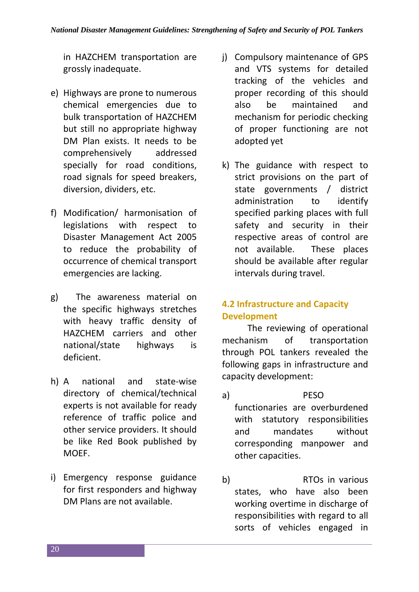in HAZCHEM transportation are grossly inadequate.

- e) Highways are prone to numerous chemical emergencies due to bulk transportation of HAZCHEM but still no appropriate highway DM Plan exists. It needs to be comprehensively addressed specially for road conditions, road signals for speed breakers, diversion, dividers, etc.
- f) Modification/ harmonisation of legislations with respect to Disaster Management Act 2005 to reduce the probability of occurrence of chemical transport emergencies are lacking.
- g) The awareness material on the specific highways stretches with heavy traffic density of HAZCHEM carriers and other national/state highways is deficient.
- h) A national and state-wise directory of chemical/technical experts is not available for ready reference of traffic police and other service providers. It should be like Red Book published by MOEF.
- i) Emergency response guidance for first responders and highway DM Plans are not available.
- j) Compulsory maintenance of GPS and VTS systems for detailed tracking of the vehicles and proper recording of this should also be maintained and mechanism for periodic checking of proper functioning are not adopted yet
- k) The guidance with respect to strict provisions on the part of state governments / district administration to identify specified parking places with full safety and security in their respective areas of control are not available. These places should be available after regular intervals during travel.

#### **4.2 Infrastructure and Capacity Development**

The reviewing of operational mechanism of transportation through POL tankers revealed the following gaps in infrastructure and capacity development:

- a) PESO functionaries are overburdened with statutory responsibilities and mandates without corresponding manpower and other capacities.
- b) RTOs in various states, who have also been working overtime in discharge of responsibilities with regard to all sorts of vehicles engaged in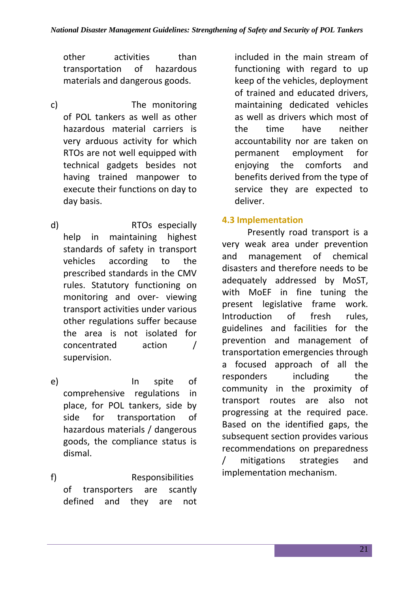other activities than transportation of hazardous materials and dangerous goods.

- c) The monitoring of POL tankers as well as other hazardous material carriers is very arduous activity for which RTOs are not well equipped with technical gadgets besides not having trained manpower to execute their functions on day to day basis.
- d) RTOs especially help in maintaining highest standards of safety in transport vehicles according to the prescribed standards in the CMV rules. Statutory functioning on monitoring and over- viewing transport activities under various other regulations suffer because the area is not isolated for concentrated action / supervision.
- e) In spite of comprehensive regulations in place, for POL tankers, side by side for transportation of hazardous materials / dangerous goods, the compliance status is dismal.
- f) Responsibilities of transporters are scantly defined and they are not

included in the main stream of functioning with regard to up keep of the vehicles, deployment of trained and educated drivers, maintaining dedicated vehicles as well as drivers which most of the time have neither accountability nor are taken on permanent employment for enjoying the comforts and benefits derived from the type of service they are expected to deliver.

#### **4.3 Implementation**

Presently road transport is a very weak area under prevention and management of chemical disasters and therefore needs to be adequately addressed by MoST, with MoEF in fine tuning the present legislative frame work. Introduction of fresh rules, guidelines and facilities for the prevention and management of transportation emergencies through a focused approach of all the responders including the community in the proximity of transport routes are also not progressing at the required pace. Based on the identified gaps, the subsequent section provides various recommendations on preparedness / mitigations strategies and implementation mechanism.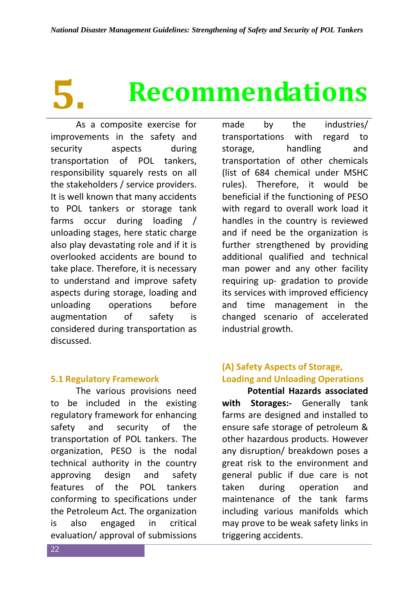# **5. Recommendations**

As a composite exercise for improvements in the safety and security aspects during transportation of POL tankers, responsibility squarely rests on all the stakeholders / service providers. It is well known that many accidents to POL tankers or storage tank farms occur during loading / unloading stages, here static charge also play devastating role and if it is overlooked accidents are bound to take place. Therefore, it is necessary to understand and improve safety aspects during storage, loading and unloading operations before augmentation of safety is considered during transportation as discussed.

#### **5.1 Regulatory Framework**

The various provisions need to be included in the existing regulatory framework for enhancing safety and security of the transportation of POL tankers. The organization, PESO is the nodal technical authority in the country approving design and safety features of the POL tankers conforming to specifications under the Petroleum Act. The organization is also engaged in critical evaluation/ approval of submissions

made by the industries/ transportations with regard to storage, handling and transportation of other chemicals (list of 684 chemical under MSHC rules). Therefore, it would be beneficial if the functioning of PESO with regard to overall work load it handles in the country is reviewed and if need be the organization is further strengthened by providing additional qualified and technical man power and any other facility requiring up- gradation to provide its services with improved efficiency and time management in the changed scenario of accelerated industrial growth.

#### **(A) Safety Aspects of Storage, Loading and Unloading Operations**

**Potential Hazards associated with Storages:-** Generally tank farms are designed and installed to ensure safe storage of petroleum & other hazardous products. However any disruption/ breakdown poses a great risk to the environment and general public if due care is not taken during operation and maintenance of the tank farms including various manifolds which may prove to be weak safety links in triggering accidents.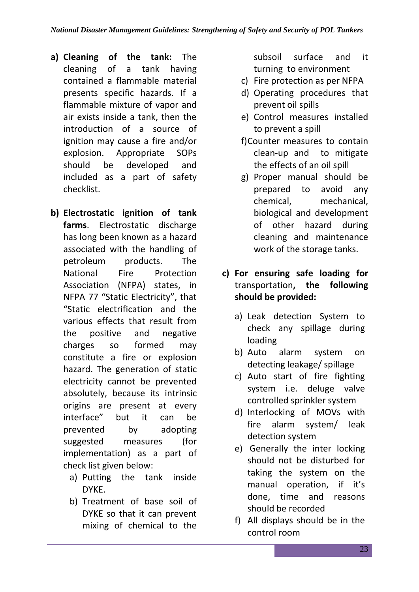- **a) Cleaning of the tank:** The cleaning of a tank having contained a flammable material presents specific hazards. If a flammable mixture of vapor and air exists inside a tank, then the introduction of a source of ignition may cause a fire and/or explosion. Appropriate SOPs should be developed and included as a part of safety checklist.
- **b) Electrostatic ignition of tank farms**. Electrostatic discharge has long been known as a hazard associated with the handling of petroleum products. The National Fire Protection Association (NFPA) states, in NFPA 77 "Static Electricity", that "Static electrification and the various effects that result from the positive and negative charges so formed may constitute a fire or explosion hazard. The generation of static electricity cannot be prevented absolutely, because its intrinsic origins are present at every interface" but it can be prevented by adopting suggested measures (for implementation) as a part of check list given below:
	- a) Putting the tank inside DYKE.
	- b) Treatment of base soil of DYKE so that it can prevent mixing of chemical to the

subsoil surface and it turning to environment

- c) Fire protection as per NFPA
- d) Operating procedures that prevent oil spills
- e) Control measures installed to prevent a spill
- f)Counter measures to contain clean-up and to mitigate the effects of an oil spill
- g) Proper manual should be prepared to avoid any chemical, mechanical, biological and development of other hazard during cleaning and maintenance work of the storage tanks.
- **c) For ensuring safe loading for**  transportation**, the following should be provided:** 
	- a) Leak detection System to check any spillage during loading
	- b) Auto alarm system on detecting leakage/ spillage
	- c) Auto start of fire fighting system i.e. deluge valve controlled sprinkler system
	- d) Interlocking of MOVs with fire alarm system/ leak detection system
	- e) Generally the inter locking should not be disturbed for taking the system on the manual operation, if it's done, time and reasons should be recorded
	- f) All displays should be in the control room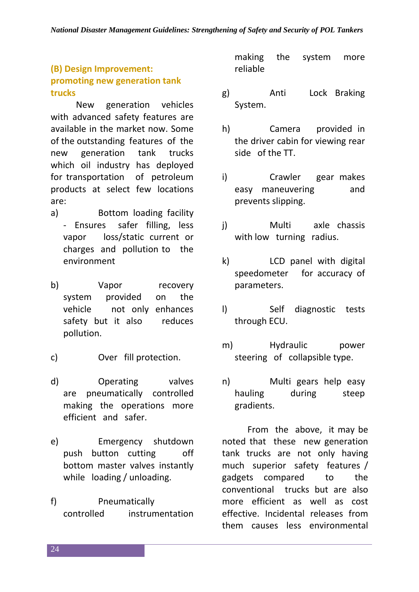#### **(B) Design Improvement: promoting new generation tank trucks**

New generation vehicles with advanced safety features are available in the market now. Some of the outstanding features of the new generation tank trucks which oil industry has deployed for transportation of petroleum products at select few locations are:

- a) Bottom loading facility - Ensures safer filling, less vapor loss/static current or charges and pollution to the environment
- b) Vapor recovery system provided on the vehicle not only enhances safety but it also reduces pollution.
- c) Over fill protection.
- d) Operating valves are pneumatically controlled making the operations more efficient and safer.
- e) Emergency shutdown push button cutting off bottom master valves instantly while loading / unloading.
- f) Pneumatically controlled instrumentation

making the system more reliable

- g) Anti Lock Braking System.
- h) Camera provided in the driver cabin for viewing rear side of the TT.
- i) Crawler gear makes easy maneuvering and prevents slipping.
- j) Multi axle chassis with low turning radius.
- k) LCD panel with digital speedometer for accuracy of parameters.
- l) Self diagnostic tests through ECU.
- m) Hydraulic power steering of collapsible type.
- n) Multi gears help easy hauling during steep gradients.

From the above, it may be noted that these new generation tank trucks are not only having much superior safety features / gadgets compared to the conventional trucks but are also more efficient as well as cost effective. Incidental releases from them causes less environmental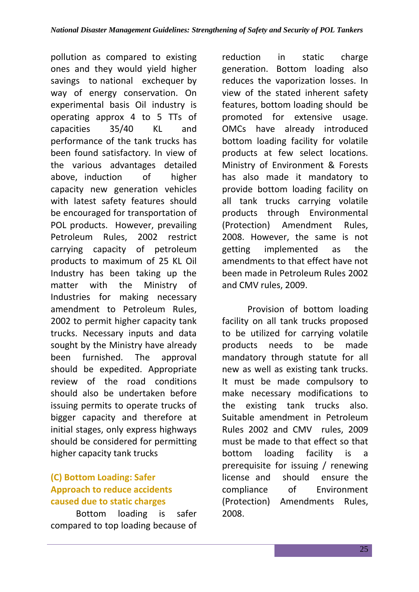pollution as compared to existing ones and they would yield higher savings to national exchequer by way of energy conservation. On experimental basis Oil industry is operating approx 4 to 5 TTs of capacities 35/40 KL and performance of the tank trucks has been found satisfactory. In view of the various advantages detailed above, induction of higher capacity new generation vehicles with latest safety features should be encouraged for transportation of POL products. However, prevailing Petroleum Rules, 2002 restrict carrying capacity of petroleum products to maximum of 25 KL Oil Industry has been taking up the matter with the Ministry of Industries for making necessary amendment to Petroleum Rules, 2002 to permit higher capacity tank trucks. Necessary inputs and data sought by the Ministry have already been furnished. The approval should be expedited. Appropriate review of the road conditions should also be undertaken before issuing permits to operate trucks of bigger capacity and therefore at initial stages, only express highways should be considered for permitting higher capacity tank trucks

#### **(C) Bottom Loading: Safer Approach to reduce accidents caused due to static charges**

Bottom loading is safer compared to top loading because of reduction in static charge generation. Bottom loading also reduces the vaporization losses. In view of the stated inherent safety features, bottom loading should be promoted for extensive usage. OMCs have already introduced bottom loading facility for volatile products at few select locations. Ministry of Environment & Forests has also made it mandatory to provide bottom loading facility on all tank trucks carrying volatile products through Environmental (Protection) Amendment Rules, 2008. However, the same is not getting implemented as the amendments to that effect have not been made in Petroleum Rules 2002 and CMV rules, 2009.

Provision of bottom loading facility on all tank trucks proposed to be utilized for carrying volatile products needs to be made mandatory through statute for all new as well as existing tank trucks. It must be made compulsory to make necessary modifications to the existing tank trucks also. Suitable amendment in Petroleum Rules 2002 and CMV rules, 2009 must be made to that effect so that bottom loading facility is a prerequisite for issuing / renewing license and should ensure the compliance of Environment (Protection) Amendments Rules, 2008.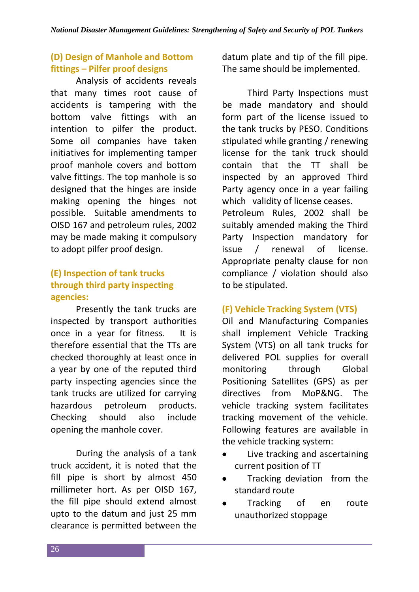#### **(D) Design of Manhole and Bottom fittings – Pilfer proof designs**

Analysis of accidents reveals that many times root cause of accidents is tampering with the bottom valve fittings with an intention to pilfer the product. Some oil companies have taken initiatives for implementing tamper proof manhole covers and bottom valve fittings. The top manhole is so designed that the hinges are inside making opening the hinges not possible. Suitable amendments to OISD 167 and petroleum rules, 2002 may be made making it compulsory to adopt pilfer proof design.

#### **(E) Inspection of tank trucks through third party inspecting agencies:**

Presently the tank trucks are inspected by transport authorities once in a year for fitness. It is therefore essential that the TTs are checked thoroughly at least once in a year by one of the reputed third party inspecting agencies since the tank trucks are utilized for carrying hazardous petroleum products. Checking should also include opening the manhole cover.

During the analysis of a tank truck accident, it is noted that the fill pipe is short by almost 450 millimeter hort. As per OISD 167, the fill pipe should extend almost upto to the datum and just 25 mm clearance is permitted between the

datum plate and tip of the fill pipe. The same should be implemented.

Third Party Inspections must be made mandatory and should form part of the license issued to the tank trucks by PESO. Conditions stipulated while granting / renewing license for the tank truck should contain that the TT shall be inspected by an approved Third Party agency once in a year failing which validity of license ceases. Petroleum Rules, 2002 shall be suitably amended making the Third Party Inspection mandatory for issue / renewal of license. Appropriate penalty clause for non compliance / violation should also to be stipulated.

#### **(F) Vehicle Tracking System (VTS)**

Oil and Manufacturing Companies shall implement Vehicle Tracking System (VTS) on all tank trucks for delivered POL supplies for overall monitoring through Global Positioning Satellites (GPS) as per directives from MoP&NG. The vehicle tracking system facilitates tracking movement of the vehicle. Following features are available in the vehicle tracking system:

- Live tracking and ascertaining current position of TT
- Tracking deviation from the  $\bullet$ standard route
- Tracking of en route unauthorized stoppage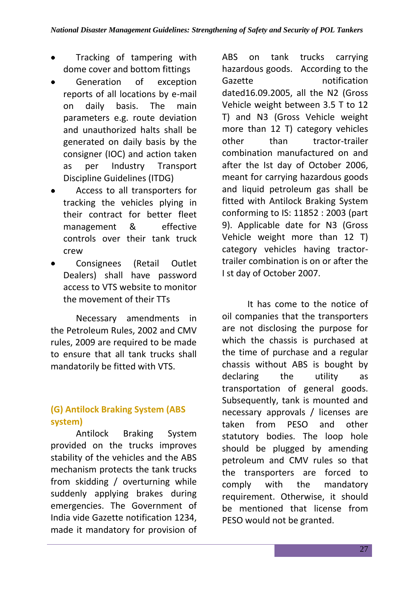- Tracking of tampering with dome cover and bottom fittings
- Generation of exception reports of all locations by e-mail on daily basis. The main parameters e.g. route deviation and unauthorized halts shall be generated on daily basis by the consigner (IOC) and action taken as per Industry Transport Discipline Guidelines (ITDG)
- Access to all transporters for tracking the vehicles plying in their contract for better fleet management & effective controls over their tank truck crew
- Consignees (Retail Outlet Dealers) shall have password access to VTS website to monitor the movement of their TTs

Necessary amendments in the Petroleum Rules, 2002 and CMV rules, 2009 are required to be made to ensure that all tank trucks shall mandatorily be fitted with VTS.

#### **(G) Antilock Braking System (ABS system)**

Antilock Braking System provided on the trucks improves stability of the vehicles and the ABS mechanism protects the tank trucks from skidding / overturning while suddenly applying brakes during emergencies. The Government of India vide Gazette notification 1234, made it mandatory for provision of ABS on tank trucks carrying hazardous goods. According to the Gazette notification dated16.09.2005, all the N2 (Gross Vehicle weight between 3.5 T to 12 T) and N3 (Gross Vehicle weight more than 12 T) category vehicles other than tractor-trailer combination manufactured on and after the Ist day of October 2006, meant for carrying hazardous goods and liquid petroleum gas shall be fitted with Antilock Braking System conforming to IS: 11852 : 2003 (part 9). Applicable date for N3 (Gross Vehicle weight more than 12 T) category vehicles having tractortrailer combination is on or after the I st day of October 2007.

It has come to the notice of oil companies that the transporters are not disclosing the purpose for which the chassis is purchased at the time of purchase and a regular chassis without ABS is bought by declaring the utility as transportation of general goods. Subsequently, tank is mounted and necessary approvals / licenses are taken from PESO and other statutory bodies. The loop hole should be plugged by amending petroleum and CMV rules so that the transporters are forced to comply with the mandatory requirement. Otherwise, it should be mentioned that license from PESO would not be granted.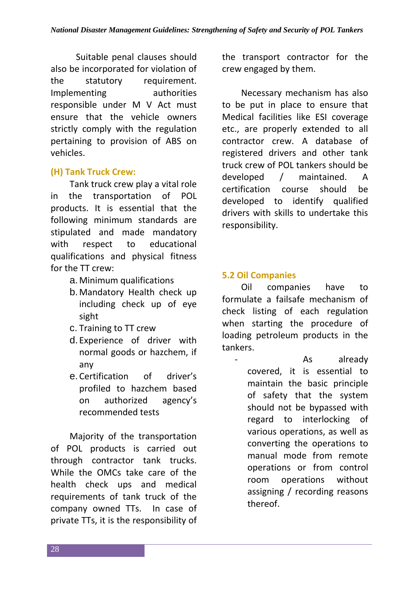Suitable penal clauses should also be incorporated for violation of the statutory requirement. Implementing authorities responsible under M V Act must ensure that the vehicle owners strictly comply with the regulation pertaining to provision of ABS on vehicles.

#### **(H) Tank Truck Crew:**

Tank truck crew play a vital role in the transportation of POL products. It is essential that the following minimum standards are stipulated and made mandatory with respect to educational qualifications and physical fitness for the TT crew:

- a.Minimum qualifications
- b.Mandatory Health check up including check up of eye sight
- c. Training to TT crew
- d. Experience of driver with normal goods or hazchem, if any
- e.Certification of driver's profiled to hazchem based on authorized agency's recommended tests

Majority of the transportation of POL products is carried out through contractor tank trucks. While the OMCs take care of the health check ups and medical requirements of tank truck of the company owned TTs. In case of private TTs, it is the responsibility of the transport contractor for the crew engaged by them.

Necessary mechanism has also to be put in place to ensure that Medical facilities like ESI coverage etc., are properly extended to all contractor crew. A database of registered drivers and other tank truck crew of POL tankers should be developed / maintained. A certification course should be developed to identify qualified drivers with skills to undertake this responsibility.

#### **5.2 Oil Companies**

Oil companies have to formulate a failsafe mechanism of check listing of each regulation when starting the procedure of loading petroleum products in the tankers.

As already covered, it is essential to maintain the basic principle of safety that the system should not be bypassed with regard to interlocking of various operations, as well as converting the operations to manual mode from remote operations or from control room operations without assigning / recording reasons thereof.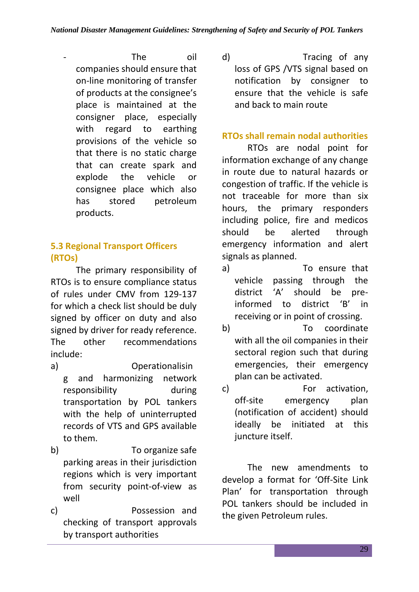- The oil companies should ensure that on-line monitoring of transfer of products at the consignee's place is maintained at the consigner place, especially with regard to earthing provisions of the vehicle so that there is no static charge that can create spark and explode the vehicle or consignee place which also has stored petroleum products.

### **5.3 Regional Transport Officers (RTOs)**

The primary responsibility of RTOs is to ensure compliance status of rules under CMV from 129-137 for which a check list should be duly signed by officer on duty and also signed by driver for ready reference. The other recommendations include:

- a) Operationalisin g and harmonizing network responsibility during transportation by POL tankers with the help of uninterrupted records of VTS and GPS available to them.
- b) To organize safe parking areas in their jurisdiction regions which is very important from security point-of-view as well
- c) Possession and checking of transport approvals by transport authorities

d) Tracing of any loss of GPS /VTS signal based on notification by consigner to ensure that the vehicle is safe and back to main route

#### **RTOs shall remain nodal authorities**

RTOs are nodal point for information exchange of any change in route due to natural hazards or congestion of traffic. If the vehicle is not traceable for more than six hours, the primary responders including police, fire and medicos should be alerted through emergency information and alert signals as planned.

- a) To ensure that vehicle passing through the district 'A' should be preinformed to district 'B' in receiving or in point of crossing.
- b) To coordinate with all the oil companies in their sectoral region such that during emergencies, their emergency plan can be activated.
- c) For activation, off-site emergency plan (notification of accident) should ideally be initiated at this juncture itself.

The new amendments to develop a format for 'Off-Site Link Plan' for transportation through POL tankers should be included in the given Petroleum rules.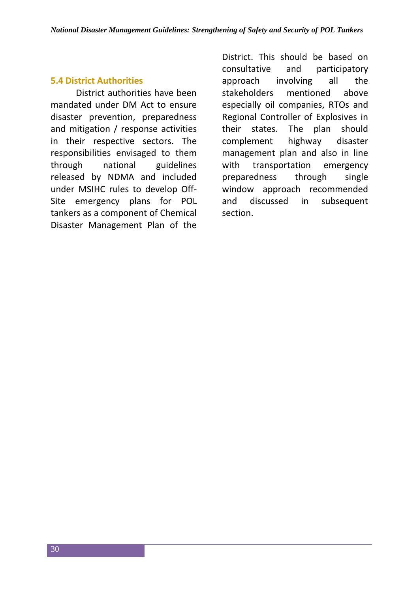#### **5.4 District Authorities**

District authorities have been mandated under DM Act to ensure disaster prevention, preparedness and mitigation / response activities in their respective sectors. The responsibilities envisaged to them through national guidelines released by NDMA and included under MSIHC rules to develop Off-Site emergency plans for POL tankers as a component of Chemical Disaster Management Plan of the

District. This should be based on consultative and participatory approach involving all the stakeholders mentioned above especially oil companies, RTOs and Regional Controller of Explosives in their states. The plan should complement highway disaster management plan and also in line with transportation emergency preparedness through single window approach recommended and discussed in subsequent section.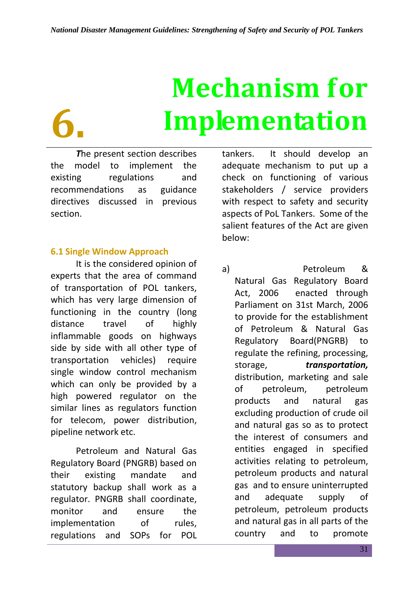# **6.**

# **Mechanism for Implementation**

*T*he present section describes the model to implement the existing regulations and recommendations as guidance directives discussed in previous section.

#### **6.1 Single Window Approach**

It is the considered opinion of experts that the area of command of transportation of POL tankers, which has very large dimension of functioning in the country (long distance travel of highly inflammable goods on highways side by side with all other type of transportation vehicles) require single window control mechanism which can only be provided by a high powered regulator on the similar lines as regulators function for telecom, power distribution, pipeline network etc.

Petroleum and Natural Gas Regulatory Board (PNGRB) based on their existing mandate and statutory backup shall work as a regulator. PNGRB shall coordinate, monitor and ensure the implementation of rules, regulations and SOPs for POL

tankers. It should develop an adequate mechanism to put up a check on functioning of various stakeholders / service providers with respect to safety and security aspects of PoL Tankers. Some of the salient features of the Act are given below:

a) Petroleum & Natural Gas Regulatory Board Act, 2006 enacted through Parliament on 31st March, 2006 to provide for the establishment of Petroleum & Natural Gas Regulatory Board(PNGRB) to regulate the refining, processing, storage, *transportation,*  distribution, marketing and sale of petroleum, petroleum products and natural gas excluding production of crude oil and natural gas so as to protect the interest of consumers and entities engaged in specified activities relating to petroleum, petroleum products and natural gas and to ensure uninterrupted and adequate supply of petroleum, petroleum products and natural gas in all parts of the country and to promote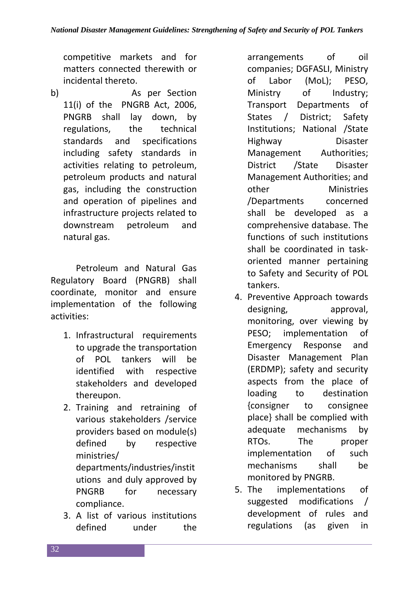competitive markets and for matters connected therewith or incidental thereto.

b) As per Section 11(i) of the PNGRB Act, 2006, PNGRB shall lay down, by regulations, the technical standards and specifications including safety standards in activities relating to petroleum, petroleum products and natural gas, including the construction and operation of pipelines and infrastructure projects related to downstream petroleum and natural gas.

Petroleum and Natural Gas Regulatory Board (PNGRB) shall coordinate, monitor and ensure implementation of the following activities:

- 1. Infrastructural requirements to upgrade the transportation of POL tankers will be identified with respective stakeholders and developed thereupon.
- 2. Training and retraining of various stakeholders /service providers based on module(s) defined by respective ministries/ departments/industries/instit utions and duly approved by PNGRB for necessary compliance.
- 3. A list of various institutions defined under the

arrangements of oil companies; DGFASLI, Ministry of Labor (MoL); PESO, Ministry of Industry; Transport Departments of States / District; Safety Institutions; National /State Highway Disaster Management Authorities; District /State Disaster Management Authorities; and other Ministries /Departments concerned shall be developed as a comprehensive database. The functions of such institutions shall be coordinated in taskoriented manner pertaining to Safety and Security of POL tankers.

- 4. Preventive Approach towards designing, approval, monitoring, over viewing by PESO; implementation of Emergency Response and Disaster Management Plan (ERDMP); safety and security aspects from the place of loading to destination {consigner to consignee place} shall be complied with adequate mechanisms by RTOs. The proper implementation of such mechanisms shall be monitored by PNGRB.
- 5. The implementations of suggested modifications / development of rules and regulations (as given in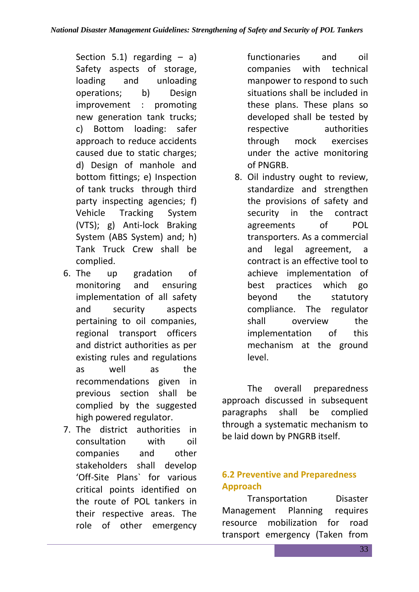Section 5.1) regarding  $-$  a) Safety aspects of storage, loading and unloading operations; b) Design improvement : promoting new generation tank trucks; c) Bottom loading: safer approach to reduce accidents caused due to static charges; d) Design of manhole and bottom fittings; e) Inspection of tank trucks through third party inspecting agencies; f) Vehicle Tracking System (VTS); g) Anti-lock Braking System (ABS System) and; h) Tank Truck Crew shall be complied.

- 6. The up gradation of monitoring and ensuring implementation of all safety and security aspects pertaining to oil companies, regional transport officers and district authorities as per existing rules and regulations as well as the recommendations given in previous section shall be complied by the suggested high powered regulator.
- 7. The district authorities in consultation with oil companies and other stakeholders shall develop 'Off-Site Plans` for various critical points identified on the route of POL tankers in their respective areas. The role of other emergency

functionaries and oil companies with technical manpower to respond to such situations shall be included in these plans. These plans so developed shall be tested by respective authorities through mock exercises under the active monitoring of PNGRB.

8. Oil industry ought to review, standardize and strengthen the provisions of safety and security in the contract agreements of POL transporters. As a commercial and legal agreement, a contract is an effective tool to achieve implementation of best practices which go beyond the statutory compliance. The regulator shall overview the implementation of this mechanism at the ground level.

The overall preparedness approach discussed in subsequent paragraphs shall be complied through a systematic mechanism to be laid down by PNGRB itself.

#### **6.2 Preventive and Preparedness Approach**

Transportation Disaster Management Planning requires resource mobilization for road transport emergency (Taken from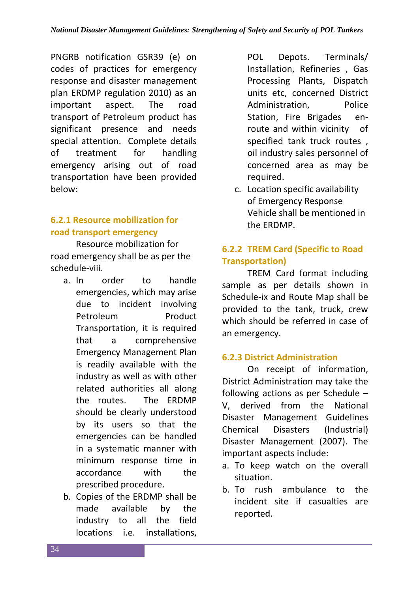PNGRB notification GSR39 (e) on codes of practices for emergency response and disaster management plan ERDMP regulation 2010) as an important aspect. The road transport of Petroleum product has significant presence and needs special attention. Complete details of treatment for handling emergency arising out of road transportation have been provided below:

#### **6.2.1 Resource mobilization for road transport emergency**

Resource mobilization for road emergency shall be as per the schedule-viii.

- a. In order to handle emergencies, which may arise due to incident involving Petroleum Product Transportation, it is required that a comprehensive Emergency Management Plan is readily available with the industry as well as with other related authorities all along the routes. The ERDMP should be clearly understood by its users so that the emergencies can be handled in a systematic manner with minimum response time in accordance with the prescribed procedure.
- b. Copies of the ERDMP shall be made available by the industry to all the field locations i.e. installations,

POL Depots. Terminals/ Installation, Refineries , Gas Processing Plants, Dispatch units etc, concerned District Administration. Police Station, Fire Brigades enroute and within vicinity of specified tank truck routes , oil industry sales personnel of concerned area as may be required.

c. Location specific availability of Emergency Response Vehicle shall be mentioned in the ERDMP.

#### **6.2.2 TREM Card (Specific to Road Transportation)**

TREM Card format including sample as per details shown in Schedule-ix and Route Map shall be provided to the tank, truck, crew which should be referred in case of an emergency.

#### **6.2.3 District Administration**

On receipt of information, District Administration may take the following actions as per Schedule – V, derived from the National Disaster Management Guidelines Chemical Disasters (Industrial) Disaster Management (2007). The important aspects include:

- a. To keep watch on the overall situation.
- b. To rush ambulance to the incident site if casualties are reported.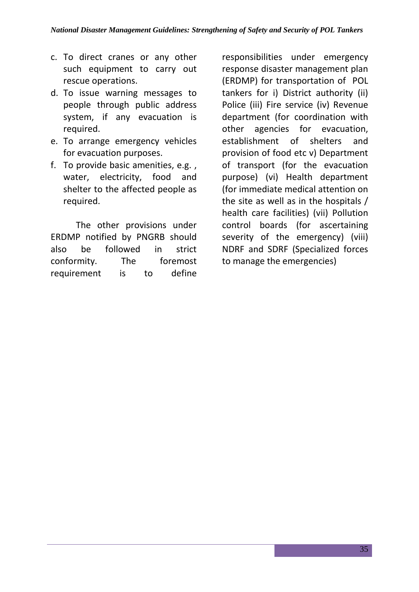- c. To direct cranes or any other such equipment to carry out rescue operations.
- d. To issue warning messages to people through public address system, if any evacuation is required.
- e. To arrange emergency vehicles for evacuation purposes.
- f. To provide basic amenities, e.g. , water, electricity, food and shelter to the affected people as required.

The other provisions under ERDMP notified by PNGRB should also be followed in strict conformity. The foremost requirement is to define

responsibilities under emergency response disaster management plan (ERDMP) for transportation of POL tankers for i) District authority (ii) Police (iii) Fire service (iv) Revenue department (for coordination with other agencies for evacuation, establishment of shelters and provision of food etc v) Department of transport (for the evacuation purpose) (vi) Health department (for immediate medical attention on the site as well as in the hospitals / health care facilities) (vii) Pollution control boards (for ascertaining severity of the emergency) (viii) NDRF and SDRF (Specialized forces to manage the emergencies)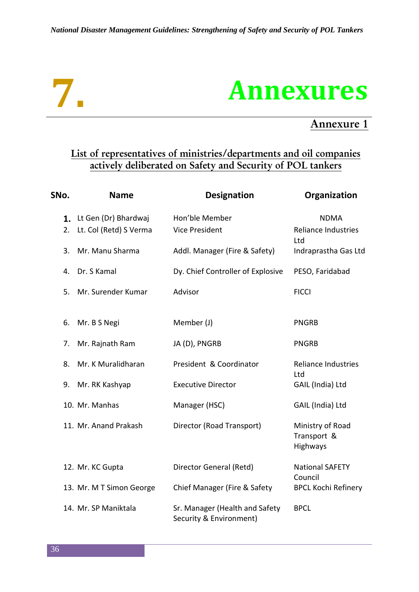

### **Annexures**

### **Annexure 1**

### **List of representatives of ministries/departments and oil companies actively deliberated on Safety and Security of POL tankers**

| SNo.     | <b>Name</b>                                    | <b>Designation</b>                                        | Organization                                |
|----------|------------------------------------------------|-----------------------------------------------------------|---------------------------------------------|
| 1.<br>2. | Lt Gen (Dr) Bhardwaj<br>Lt. Col (Retd) S Verma | Hon'ble Member<br><b>Vice President</b>                   | <b>NDMA</b><br><b>Reliance Industries</b>   |
| 3.       | Mr. Manu Sharma                                | Addl. Manager (Fire & Safety)                             | Ltd<br>Indraprastha Gas Ltd                 |
| 4.       | Dr. S Kamal                                    | Dy. Chief Controller of Explosive                         | PESO, Faridabad                             |
| 5.       | Mr. Surender Kumar                             | Advisor                                                   | <b>FICCI</b>                                |
| 6.       | Mr. B S Negi                                   | Member (J)                                                | <b>PNGRB</b>                                |
| 7.       | Mr. Rajnath Ram                                | JA (D), PNGRB                                             | <b>PNGRB</b>                                |
| 8.       | Mr. K Muralidharan                             | President & Coordinator                                   | <b>Reliance Industries</b><br>Ltd           |
| 9.       | Mr. RK Kashyap                                 | <b>Executive Director</b>                                 | GAIL (India) Ltd                            |
|          | 10. Mr. Manhas                                 | Manager (HSC)                                             | GAIL (India) Ltd                            |
|          | 11. Mr. Anand Prakash                          | Director (Road Transport)                                 | Ministry of Road<br>Transport &<br>Highways |
|          | 12. Mr. KC Gupta                               | Director General (Retd)                                   | <b>National SAFETY</b><br>Council           |
|          | 13. Mr. M T Simon George                       | Chief Manager (Fire & Safety                              | <b>BPCL Kochi Refinery</b>                  |
|          | 14. Mr. SP Maniktala                           | Sr. Manager (Health and Safety<br>Security & Environment) | <b>BPCL</b>                                 |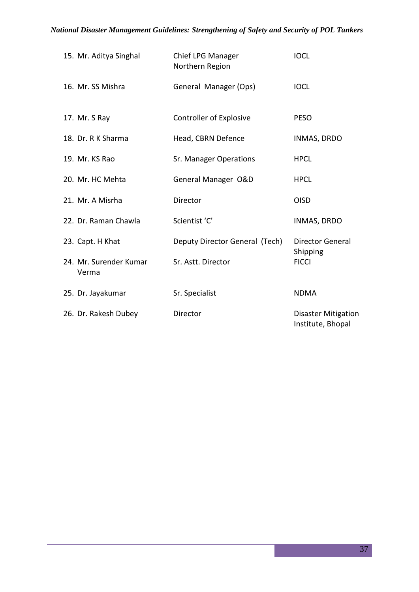| 15. Mr. Aditya Singhal          | Chief LPG Manager<br>Northern Region | <b>IOCL</b>                                     |
|---------------------------------|--------------------------------------|-------------------------------------------------|
| 16. Mr. SS Mishra               | General Manager (Ops)                | <b>IOCL</b>                                     |
| 17. Mr. S Ray                   | Controller of Explosive              | <b>PESO</b>                                     |
| 18. Dr. R K Sharma              | Head, CBRN Defence                   | INMAS, DRDO                                     |
| 19. Mr. KS Rao                  | Sr. Manager Operations               | <b>HPCL</b>                                     |
| 20. Mr. HC Mehta                | General Manager O&D                  | <b>HPCL</b>                                     |
| 21. Mr. A Misrha                | Director                             | <b>OISD</b>                                     |
| 22. Dr. Raman Chawla            | Scientist 'C'                        | <b>INMAS, DRDO</b>                              |
| 23. Capt. H Khat                | Deputy Director General (Tech)       | <b>Director General</b><br>Shipping             |
| 24. Mr. Surender Kumar<br>Verma | Sr. Astt. Director                   | <b>FICCI</b>                                    |
| 25. Dr. Jayakumar               | Sr. Specialist                       | <b>NDMA</b>                                     |
| 26. Dr. Rakesh Dubey            | Director                             | <b>Disaster Mitigation</b><br>Institute, Bhopal |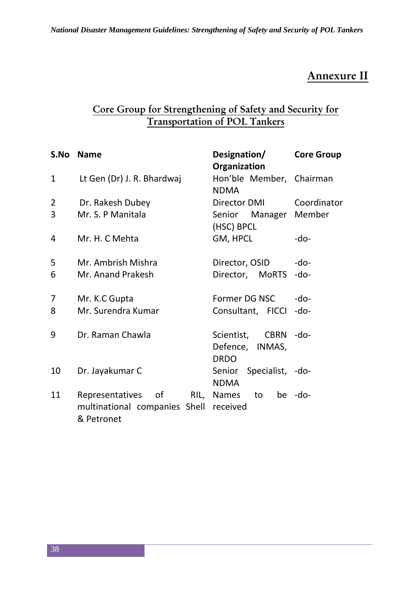### **Annexure II**

### **Core Group for Strengthening of Safety and Security for Transportation of POL Tankers**

| S.No           | <b>Name</b>                                          | Designation/<br>Organization            | <b>Core Group</b> |
|----------------|------------------------------------------------------|-----------------------------------------|-------------------|
| $\mathbf{1}$   | Lt Gen (Dr) J. R. Bhardwaj                           | Hon'ble Member, Chairman<br><b>NDMA</b> |                   |
| $\overline{2}$ | Dr. Rakesh Dubey                                     | Director DMI                            | Coordinator       |
| 3              | Mr. S. P Manitala                                    | Senior Manager Member<br>(HSC) BPCL     |                   |
| 4              | Mr. H. C Mehta                                       | GM, HPCL                                | -do-              |
| 5              | Mr. Ambrish Mishra                                   | Director, OSID                          | $-do-$            |
| 6              | Mr. Anand Prakesh                                    | Director, MoRTS                         | $-do-$            |
| 7              | Mr. K.C Gupta                                        | Former DG NSC                           | $-do-$            |
| 8              | Mr. Surendra Kumar                                   | Consultant, FICCI                       | -do-              |
| 9              | Dr. Raman Chawla                                     | Scientist, CBRN -do-                    |                   |
|                |                                                      | Defence, INMAS,                         |                   |
|                |                                                      | <b>DRDO</b>                             |                   |
| 10             | Dr. Jayakumar C                                      | Senior Specialist, -do-                 |                   |
| 11             | Representatives of<br>RIL,                           | <b>NDMA</b><br>Names<br>to              | be -do-           |
|                | multinational companies Shell received<br>& Petronet |                                         |                   |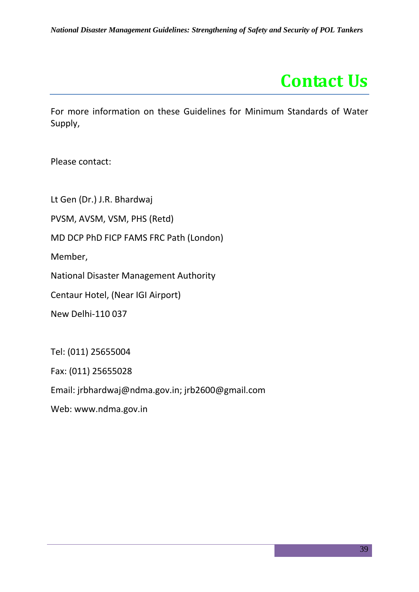

For more information on these Guidelines for Minimum Standards of Water Supply,

Please contact:

Lt Gen (Dr.) J.R. Bhardwaj

PVSM, AVSM, VSM, PHS (Retd)

MD DCP PhD FICP FAMS FRC Path (London)

Member,

National Disaster Management Authority

Centaur Hotel, (Near IGI Airport)

New Delhi-110 037

Tel: (011) 25655004

Fax: (011) 25655028

Email: jrbhardwaj@ndma.gov.in; jrb2600@gmail.com

Web: www.ndma.gov.in